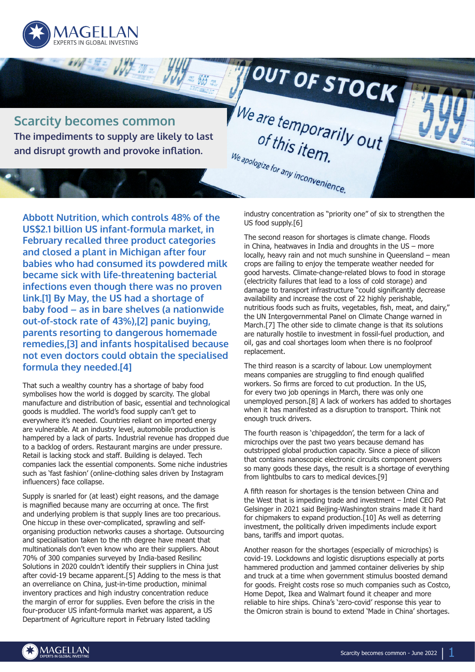

**Scarcity becomes common The impediments to supply are likely to last and disrupt growth and provoke inflation.**

**Abbott Nutrition, which controls 48% of the US\$2.1 billion US infant-formula market, in February recalled three product categories and closed a plant in Michigan after four babies who had consumed its powdered milk became sick with life-threatening bacterial infections even though there was no proven link.[1] By May, the US had a shortage of baby food – as in bare shelves (a nationwide out-of-stock rate of 43%),[2] panic buying, parents resorting to dangerous homemade remedies,[3] and infants hospitalised because not even doctors could obtain the specialised formula they needed.[4]**

That such a wealthy country has a shortage of baby food symbolises how the world is dogged by scarcity. The global manufacture and distribution of basic, essential and technological goods is muddled. The world's food supply can't get to everywhere it's needed. Countries reliant on imported energy are vulnerable. At an industry level, automobile production is hampered by a lack of parts. Industrial revenue has dropped due to a backlog of orders. Restaurant margins are under pressure. Retail is lacking stock and staff. Building is delayed. Tech companies lack the essential components. Some niche industries such as 'fast fashion' (online-clothing sales driven by Instagram influencers) face collapse.

Supply is snarled for (at least) eight reasons, and the damage is magnified because many are occurring at once. The first and underlying problem is that supply lines are too precarious. One hiccup in these over-complicated, sprawling and selforganising production networks causes a shortage. Outsourcing and specialisation taken to the nth degree have meant that multinationals don't even know who are their suppliers. About 70% of 300 companies surveyed by India-based Resilinc Solutions in 2020 couldn't identify their suppliers in China just after covid-19 became apparent.[5] Adding to the mess is that an overreliance on China, just-in-time production, minimal inventory practices and high industry concentration reduce the margin of error for supplies. Even before the crisis in the four-producer US infant-formula market was apparent, a US Department of Agriculture report in February listed tackling

industry concentration as "priority one" of six to strengthen the US food supply.[6]

OUT OF STOCK

We are temporarily out

of this item.

We apologize for any inconvenience.

The second reason for shortages is climate change. Floods in China, heatwaves in India and droughts in the US – more locally, heavy rain and not much sunshine in Queensland – mean crops are failing to enjoy the temperate weather needed for good harvests. Climate-change-related blows to food in storage (electricity failures that lead to a loss of cold storage) and damage to transport infrastructure "could significantly decrease availability and increase the cost of 22 highly perishable, nutritious foods such as fruits, vegetables, fish, meat, and dairy," the UN Intergovernmental Panel on Climate Change warned in March.[7] The other side to climate change is that its solutions are naturally hostile to investment in fossil-fuel production, and oil, gas and coal shortages loom when there is no foolproof replacement.

The third reason is a scarcity of labour. Low unemployment means companies are struggling to find enough qualified workers. So firms are forced to cut production. In the US, for every two job openings in March, there was only one unemployed person.[8] A lack of workers has added to shortages when it has manifested as a disruption to transport. Think not enough truck drivers.

The fourth reason is 'chipageddon', the term for a lack of microchips over the past two years because demand has outstripped global production capacity. Since a piece of silicon that contains nanoscopic electronic circuits component powers so many goods these days, the result is a shortage of everything from lightbulbs to cars to medical devices.[9]

A fifth reason for shortages is the tension between China and the West that is impeding trade and investment – Intel CEO Pat Gelsinger in 2021 said Beijing-Washington strains made it hard for chipmakers to expand production.[10] As well as deterring investment, the politically driven impediments include export bans, tariffs and import quotas.

Another reason for the shortages (especially of microchips) is covid-19. Lockdowns and logistic disruptions especially at ports hammered production and jammed container deliveries by ship and truck at a time when government stimulus boosted demand for goods. Freight costs rose so much companies such as Costco, Home Depot, Ikea and Walmart found it cheaper and more reliable to hire ships. China's 'zero-covid' response this year to the Omicron strain is bound to extend 'Made in China' shortages.

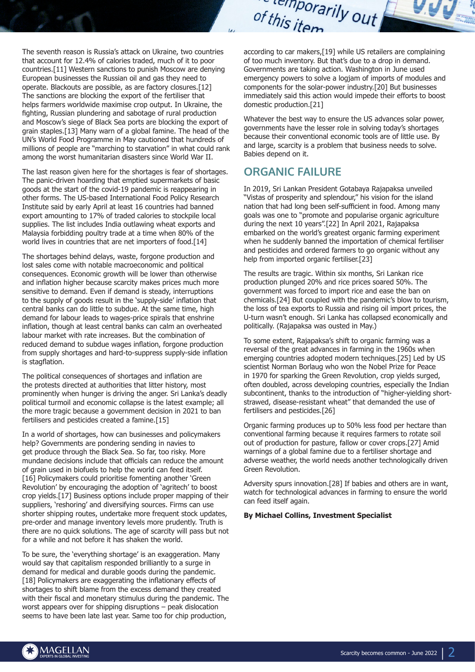<sup>cemporarily</sup> out of this item

The seventh reason is Russia's attack on Ukraine, two countries that account for 12.4% of calories traded, much of it to poor countries.[11] Western sanctions to punish Moscow are denying European businesses the Russian oil and gas they need to operate. Blackouts are possible, as are factory closures.[12] The sanctions are blocking the export of the fertiliser that helps farmers worldwide maximise crop output. In Ukraine, the fighting, Russian plundering and sabotage of rural production and Moscow's siege of Black Sea ports are blocking the export of grain staples.[13] Many warn of a global famine. The head of the UN's World Food Programme in May cautioned that hundreds of millions of people are "marching to starvation" in what could rank among the worst humanitarian disasters since World War II.

The last reason given here for the shortages is fear of shortages. The panic-driven hoarding that emptied supermarkets of basic goods at the start of the covid-19 pandemic is reappearing in other forms. The US-based International Food Policy Research Institute said by early April at least 16 countries had banned export amounting to 17% of traded calories to stockpile local supplies. The list includes India outlawing wheat exports and Malaysia forbidding poultry trade at a time when 80% of the world lives in countries that are net importers of food.[14]

The shortages behind delays, waste, forgone production and lost sales come with notable macroeconomic and political consequences. Economic growth will be lower than otherwise and inflation higher because scarcity makes prices much more sensitive to demand. Even if demand is steady, interruptions to the supply of goods result in the 'supply-side' inflation that central banks can do little to subdue. At the same time, high demand for labour leads to wages-price spirals that enshrine inflation, though at least central banks can calm an overheated labour market with rate increases. But the combination of reduced demand to subdue wages inflation, forgone production from supply shortages and hard-to-suppress supply-side inflation is stagflation.

The political consequences of shortages and inflation are the protests directed at authorities that litter history, most prominently when hunger is driving the anger. Sri Lanka's deadly political turmoil and economic collapse is the latest example; all the more tragic because a government decision in 2021 to ban fertilisers and pesticides created a famine.[15]

In a world of shortages, how can businesses and policymakers help? Governments are pondering sending in navies to get produce through the Black Sea. So far, too risky. More mundane decisions include that officials can reduce the amount of grain used in biofuels to help the world can feed itself. [16] Policymakers could prioritise fomenting another 'Green Revolution' by encouraging the adoption of 'agritech' to boost crop yields.[17] Business options include proper mapping of their suppliers, 'reshoring' and diversifying sources. Firms can use shorter shipping routes, undertake more frequent stock updates, pre-order and manage inventory levels more prudently. Truth is there are no quick solutions. The age of scarcity will pass but not for a while and not before it has shaken the world.

To be sure, the 'everything shortage' is an exaggeration. Many would say that capitalism responded brilliantly to a surge in demand for medical and durable goods during the pandemic. [18] Policymakers are exaggerating the inflationary effects of shortages to shift blame from the excess demand they created with their fiscal and monetary stimulus during the pandemic. The worst appears over for shipping disruptions – peak dislocation seems to have been late last year. Same too for chip production,

according to car makers,[19] while US retailers are complaining of too much inventory. But that's due to a drop in demand. Governments are taking action. Washington in June used emergency powers to solve a logjam of imports of modules and components for the solar-power industry.[20] But businesses immediately said this action would impede their efforts to boost domestic production.[21]

Whatever the best way to ensure the US advances solar power, governments have the lesser role in solving today's shortages because their conventional economic tools are of little use. By and large, scarcity is a problem that business needs to solve. Babies depend on it.

## **ORGANIC FAILURE**

 $\overline{a}$ 

In 2019, Sri Lankan President Gotabaya Rajapaksa unveiled "Vistas of prosperity and splendour," his vision for the island nation that had long been self-sufficient in food. Among many goals was one to "promote and popularise organic agriculture during the next 10 years".[22] In April 2021, Rajapaksa embarked on the world's greatest organic farming experiment when he suddenly banned the importation of chemical fertiliser and pesticides and ordered farmers to go organic without any help from imported organic fertiliser.[23]

The results are tragic. Within six months, Sri Lankan rice production plunged 20% and rice prices soared 50%. The government was forced to import rice and ease the ban on chemicals.[24] But coupled with the pandemic's blow to tourism, the loss of tea exports to Russia and rising oil import prices, the U-turn wasn't enough. Sri Lanka has collapsed economically and politically. (Rajapaksa was ousted in May.)

To some extent, Rajapaksa's shift to organic farming was a reversal of the great advances in farming in the 1960s when emerging countries adopted modern techniques.[25] Led by US scientist Norman Borlaug who won the Nobel Prize for Peace in 1970 for sparking the Green Revolution, crop yields surged, often doubled, across developing countries, especially the Indian subcontinent, thanks to the introduction of "higher-yielding shortstrawed, disease-resistant wheat" that demanded the use of fertilisers and pesticides.[26]

Organic farming produces up to 50% less food per hectare than conventional farming because it requires farmers to rotate soil out of production for pasture, fallow or cover crops.[27] Amid warnings of a global famine due to a fertiliser shortage and adverse weather, the world needs another technologically driven Green Revolution.

Adversity spurs innovation.[28] If babies and others are in want, watch for technological advances in farming to ensure the world can feed itself again.

## **By Michael Collins, Investment Specialist**